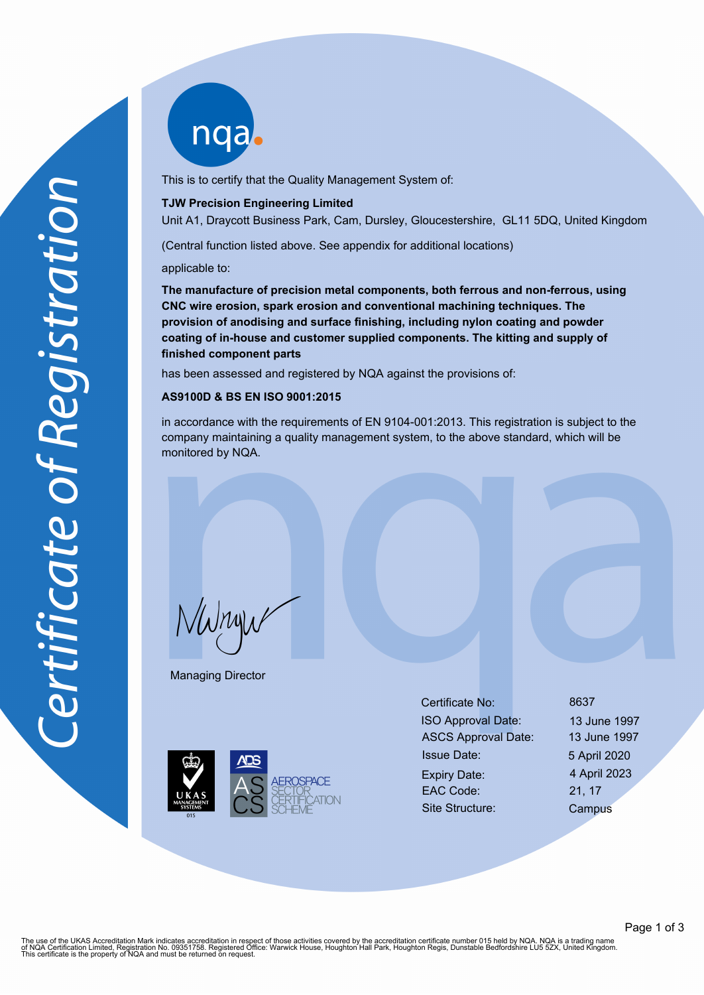nqab

This is to certify that the Quality Management System of:

#### **TJW Precision Engineering Limited**

Unit A1, Draycott Business Park, Cam, Dursley, Gloucestershire, GL11 5DQ, United Kingdom

(Central function listed above. See appendix for additional locations)

applicable to:

**The manufacture of precision metal components, both ferrous and non-ferrous, using CNC wire erosion, spark erosion and conventional machining techniques. The provision of anodising and surface finishing, including nylon coating and powder coating of in-house and customer supplied components. The kitting and supply of finished component parts**

has been assessed and registered by NQA against the provisions of:

# **AS9100D & BS EN ISO 9001:2015**

in accordance with the requirements of EN 9104-001:2013. This registration is subject to the company maintaining a quality management system, to the above standard, which will be monitored by NQA.

 $N$ W $n$ u $\nu$ 

Managing Director



Certificate No: 8637 ISO Approval Date: 13 June 1997 ASCS Approval Date: 13 June 1997 Issue Date: 5 April 2020 Expiry Date: 4 April 2023 EAC Code: 21, 17 Site Structure: Campus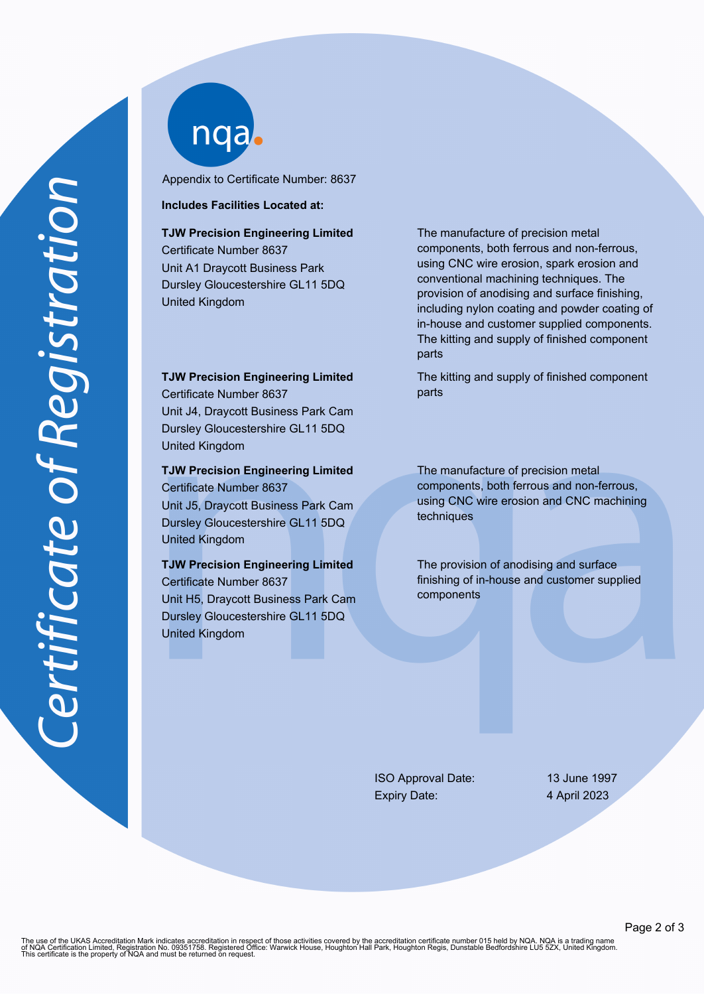nqab

Appendix to Certificate Number: 8637

#### **Includes Facilities Located at:**

# **TJW Precision Engineering Limited**

Certificate Number 8637 Unit A1 Draycott Business Park Dursley Gloucestershire GL11 5DQ United Kingdom

**TJW Precision Engineering Limited**

Certificate Number 8637 Unit J4, Draycott Business Park Cam Dursley Gloucestershire GL11 5DQ United Kingdom

## **TJW Precision Engineering Limited** Certificate Number 8637

Unit J5, Draycott Business Park Cam Dursley Gloucestershire GL11 5DQ United Kingdom

# **TJW Precision Engineering Limited**

Certificate Number 8637 Unit H5, Draycott Business Park Cam Dursley Gloucestershire GL11 5DQ United Kingdom

The manufacture of precision metal components, both ferrous and non-ferrous, using CNC wire erosion, spark erosion and conventional machining techniques. The provision of anodising and surface finishing, including nylon coating and powder coating of in-house and customer supplied components. The kitting and supply of finished component parts

The kitting and supply of finished component parts

The manufacture of precision metal components, both ferrous and non-ferrous, using CNC wire erosion and CNC machining techniques

The provision of anodising and surface finishing of in-house and customer supplied components

ISO Approval Date: 13 June 1997 Expiry Date: 4 April 2023